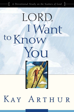

# LORD, I Want to Know You



## KAY ARTHUR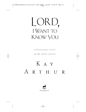

A DEVOTIONAL STUDY *on the* N AMES *of* G O D

### K a y R T H U R

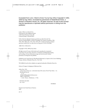Excerpted from Lord, I Want to Know You by Kay Arthur Copyright © 1992, 2000 by Kay Arthur. Excerpted by permission of WaterBrook Press, a division of Random House, Inc. All rights reserved. No part of this excerpt may be reproduced or reprinted without permission in writing from the publisher.

LORD, I WANT TO KNOW YOU PUBLISHED BY WATERBROOK PRESS 12265 Oracle Boulevard, Suite 200 Colorado Springs, Colorado 80921

Unless otherwise indicated, Scripture quotations are taken from the *New American Standard Bible*®. (NASB).© Copyright The Lockman Foundation 1960, 1962, 1963, 1968, 1971, 1972, 1973, 1975, 1977. Used by permission. Scripture quotations marked (KJV) are taken from the *King James Version* of the Bible.

ISBN 978-1-57856-439-2

Copyright © 1992, 2000 by Kay Arthur

All rights reserved. No part of this book may be reproduced or transmitted in any form or by any means, electronic or mechanical, including photocopying and recording, or by any information storage and retrieval system, without permission in writing from the publisher.

Published in the United States by WaterBrook Multnomah, an imprint of the Crown Publishing Group, a division of Random House Inc., New York.

WATERBROOK and its deer colophon are registered trademarks of Random House Inc.

Library of Congress Cataloging-in-Publication Data

Arthur, Kay, 1933- Lord, I want to know you : a devotional study of the names of God / Kay Arthur.—1st. WaterBrook Press ed. p. cm. Includes bibliographical references (p.). ISBN 1-57856-439-5 1. God—Names—Meditations. I. Title.

BT180.N2 A63 2001 231—dc21

00-068626

Printed in the United States of America 2009

20 19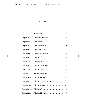### **CONTENTS**

| Chapter One             |                                                                                     |
|-------------------------|-------------------------------------------------------------------------------------|
| Chapter Two             |                                                                                     |
| <b>Chapter Three</b>    |                                                                                     |
| Chapter Four            | The God Who Sees $\dots\dots\dots\dots\dots\dots\dots\dots$                         |
| <b>Chapter Five</b>     |                                                                                     |
| Chapter Six             | The Lord $\ldots \ldots \ldots \ldots \ldots \ldots \ldots \ldots \ldots \ldots 41$ |
| <b>Chapter Seven</b>    |                                                                                     |
| Chapter Eight           |                                                                                     |
| <b>Chapter Nine</b>     |                                                                                     |
| Chapter Ten             |                                                                                     |
| Chapter Eleven          | The Lord My Banner  105                                                             |
| Chapter Twelve          | The Lord Who Sanctifies You  117                                                    |
| Chapter Thirteen        |                                                                                     |
| <b>Chapter Fourteen</b> | The Lord of Hosts $\ldots \ldots \ldots \ldots \ldots \ldots \ldots \ldots$ 133     |
| Chapter Fifteen         | The Lord My Shepherd  139                                                           |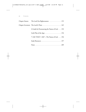### *v i Contents*

| Chapter Sixteen The Lord Our Righteousness  155 |
|-------------------------------------------------|
| Chapter Seventeen The Lord Is There  165        |
| A Guide for Pronouncing the Names of God 193    |
|                                                 |
| "I AM THAT I AM"—The Names of God  196          |
|                                                 |
|                                                 |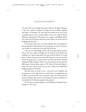### ACKNOWLEDGMENTS

"For from Him and through Him and to Him are all things" (Romans 11:36). Yet, wonder of wonders, He makes us to be co-laborers together with Him (1 Corinthians 3:9). Any book God would ever use me to write is possible because of the concerted efforts of the entire staff of Precept Ministries International. Their prayers, love, support, and faithful dedication to the call of God upon their lives in this ministry are God's means of bringing forth this book.

At the head of that team is my dear husband, Jack, the president of Precept Ministries International, who encourages me and in numerous ways enables me to persevere in the task God has for me.

I also want to acknowledge authors who have gone before and have left me and you a legacy of insight into the truths of God's Word, thus enabling us to better understand His name and His Word: Dr. Irving Jensen, author of *Jensen's Survey of the Old Testament,* is the one God has used in the greatest way to teach me how to study God's Word. His book *Independent Bible Study* gave birth to our Precept upon Precept inductive Bible studies. Andrew Jukes, author of *The Names of God,* and Nathan J. Stone, who wrote *Names of God,* are two men to whom I am indebted for insights presented in this book.

And then there are those of you…who pray for me regularly and encourage me. I have asked God to use this book in a transforming way to allow you to know Him more intimately. I know He will answer that prayer according to the measure of your hunger for and your obedience to the truths from His Word contained in this material.

To Him alone, our Jehovah-jireh, our El Shaddai, be the glory forever (Romans 11:36). Amen.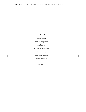*O Father, as You did with Moses, make all Your goodness pass before us, proclaim the name of the Lord before us, be gracious unto us and show us compassion.*

A.C. DIXON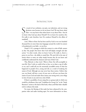### INTRODUCTION

o much of our confusion, our pain, our indecision, and our wrong decisions come because we do not know God. We may know *about*  $\bm{J}$  Him—we may know what others know or say about Him—but do we know what God says about Himself? Do we know for ourselves who He really is and, therefore, how He conducts Himself in the affairs of mankind? S

*Lord, I Want to Know You* has been used by God in over two hundred thousand lives in more than sixty languages around the world. Its content is foundational to our faith—to our lives.

Daniel 11:32, a passage in which the context is a crisis of faith, assures us that "the people who know their God will display strength and take action." In other words, when we know God as He really is, there's a power in our lives—the ability to stand firm. We aren't left in the state of inertia where so many are today simply because they do not know and confidently understand the character and ways of their God.

This, Beloved, is what *Lord, I Want to Know You* will accomplish in your life. How I wish we could sit face to face, as we share a cup of coffee or tea, and I could tell you the awesomely incredible stories of what has happened in people's lives, young and old, as a result of studying the names of God. Although you may never hear these stories, I believe that you, my friend, will have a story of your own to tell once you know the names of your God and make those names your strong tower, your refuge in time of need, in any and every crisis of faith.

If there's a possibility of your using this as a group study in which you would be a facilitator, then read "Guidelines for Group Use" in the "Study Resources" section at the back of this book, where you'll find other valuable tools to enhance this study.

For many, the blessing of this study has been enhanced by the companion video and audio teaching tapes. For more information on these,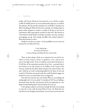simply call Precept Ministries International at our toll-free number (1-800-763-8280) and let one of our staff members help you. It would be their pleasure. We also provide training if you would like to develop your skills in handling the Word of God more accurately or in leading others in group studies designed to minister to people of all ages at any level of commitment while respecting the restraints on their time. We're known as "The Inductive Study People: everybody, everywhere, any time, any place, any language, any age. One message: the Bible. One method: inductive." Please don't hesitate to call us.

Finally, let me share my vision—it's the possibility of a new avenue of ministry for you, Beloved of God…

> *A new beginning— An avenue of ministry— A sense of doing something that has eternal value*

These are three things I think are so important for you and for me. There's so much to learn, to know, to experience, to do—and we never want to lose sight of that. To do so would be to miss what God has for us. To fall short of the tremendous potential of our lives—a potential that is ours because we are His, because we are children of the Creator of the Universe, indwelt by His divine Spirit and given the mind of Christ. You and I, Beloved, are God's workmanship gifted by the Spirit of God and created in Christ Jesus unto good works that would absolutely stagger our minds if we were to see them before they ever happened.

And what has God put into your hands? What are you holding and reading right now? Is it an accident? A coincidence? No! You are holding a devotional study that first and foremost will be the beginning of a new depth of understanding about God and all that He is for you.

God is going to speak to you because through this book you are going to come face to face with the living Word of God—the Word that not only discerns the thoughts and intentions of your heart, but becomes the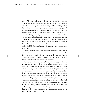means of throwing His light on the direction your life is taking so you can know with absolute confidence where you are headed. If you listen to what He says—and by that I mean ordering your life accordingly—then there is, in a sense, a new beginning…of understanding, of purpose. A new level of Christlikeness is attained. You will be, as Paul would say, pressing on and attaining that for which Jesus Christ laid hold of you.

Which brings me to my next point—an avenue of ministry. What you have learned, God intends for you to share. I have a vision, and you, Beloved, are part of that vision. Our Lord's commission in Matthew 28 was that we make disciples of all men—that we teach them to observe all that He has commanded us. Acts 1 tells us that when we are saved and receive the Holy Spirit we become His witnesses—yet the question is often, "How?"

Here is the how. This "Lord" book contains truths every human being needs to know and to apply to his or her life. These are precepts for life; through them we will gain understanding and, as the psalmist says, "hate every false way" (Psalm 119:104) We hate it because it is false rather than true, and it is truth that sets us apart, sets us free.

So what is my vision for you, my friend? It is that you go to the Lord in prayer and ask Him to direct you to at least one other person—but preferably at least ten—and that you, along with them, study this book together. You may not be a teacher, but you can be the group's facilitator. You can take the questions you'll find at the end of each chapter and use them to stimulate a discussion among those whom the Lord has brought together in answer to your prayer. These are those who will be part of your crown of rejoicing in the presence of our Lord Jesus Christ. As you watch them learn and grow in the knowledge of God and of His Word, you will experience the humbling joy of knowing that you have been used of God. That what you have done has eternal value. That your life and God-given gifts have not been wasted. That your work will live on—that the grace of God poured out on you was not poured out in vain, for you have labored in the strength of His grace.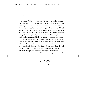So as you facilitate a group using this book, you need to watch for and encourage others in your group to do as you have done—to take what they have learned and impart it to another as you did with them. Think of the multiplication that will happen! Do you realize, Beloved, that this is the way we can reach our neighborhoods, our communities, our nation, and beyond? Think of the transformation that will take place among all those people today who are so interested in "the spiritual" but won't step inside a church. Think—just think!—what is going to happen!

The time is now. The hour is short. Stop and pray right now and ask God what He would have you to do. He will show you, because He is God and because such prayers are in accordance with His will. As you step out and begin, just know that if you will step out in faith, God will give you an avenue of ministry, person by person or group by group, that will not only stagger your mind but absolutely delight your soul.

I cannot wait to hear what God does in and through you, my friend.

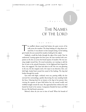## *chapter* 1

### THE NAMES OF THE LORD

*— DAY ONE —*

he muffled, distant sound had broken the quiet reverie of his walk across the meadow. The sharp barking of a dog almost irritated him. It was abrasive in that tranquil setting. As the barking grew louder, his eyes scanned the meadow, looking for the culprit. T

Suddenly a small doe broke through the edge of the woods. Now he understood. Leaning against the fence post, the man watched with compassion as the doe cut across the broad expanse of meadow. She was running straight toward him. He stood motionless, not wanting to add the fear of man to the animal's frustration. As the frightened fawn leaped the fence, she staggered. The chase had taken its toll. Her wet coat gleaming in the sun, the doe stopped, took a few steps in one direction, then, ears held high, looked back toward the sound of the barking. The dog had broken through the woods.

Eyes wide with fright, confused, worn out, panting wildly, the doe surveyed her surroundings, quickly discovering the man standing beside the fence. Glancing back for an instant at the dog in hot pursuit, then viewing the expanse of open field before her, she turned weakly and wobbled straight toward the man. She approached him without fear and buried her head in his tummy. Compassion flooded his heart and filled his eyes. She had found a protector.

Beloved, where do you run in time of need? When the hounds of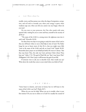trouble, worry, and fear pursue you; when the dogs of temptation, corruption, and evil seek to overtake you; when your energy is spent; when weakness saps you; when you feel you cannot run any longer, where do you turn?

Do you turn to your protector, the One who stands with arms opened wide, waiting for you to come and bury yourself in the security of all He is?

"The name of the LORD is a strong tower; the righteous runs into it and is safe" (Proverbs 18:10).

For these forty-two days we are going to study the names of the Lord so that you will know where to run to find help in time of need. The Father longs for you to know more of who He is, that you might more fully "trust in the name of the LORD and rely on [your] God" (Isaiah 50:10). Remember Jesus' prayer on our behalf just before He went to Calvary: "that they may know Thee, the only true God, and Jesus Christ whom Thou hast sent" (John 17:3). The goal of Paul's life was "that I may know Him" (Philippians 3:10). How I pray it will become the goal of your life!

If someone were to ask you to describe God, what would you say? Write down the words that come to your mind when you think of God.

#### *—DAY TWO—*

"Some boast in chariots, and some in horses; but we will boast in the name of the LORD, our God" (Psalm 20:7).

Where do you run for help? When you are in trouble, what is your first instinct? Do you run to others or to God? Is it usually the counsel of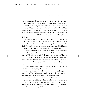another rather than the counsel found in waiting upon God in prayer? Why is this the way it is? Why do we run to man before we run to God?

In Old Testament days chariots and horses were means of protection and escape. Today our "chariots and horses" come with different labels, shapes, and forms. Even so they are still a visible means of help, escape, or protection. Yet are these really a source of safety? No. "The horse is prepared against the day of battle: but safety is of the LORD" (Proverbs 21:31, KJV).

What's the problem? Why don't we run to the arms of our all-sufficient God? I think it's because most of us don't really know our God. Why do many collapse in the day of trouble and testing? Why are they immobilized? Why don't they take an aggressive stand in the face of fear? Because Christians, for the most part, can't boast in the name of their God.

What do I mean when I say, "boast in the name of our God"? In the Hebrew language the phrase *to boast in* means "to have confidence in, to trust in."1 Therefore, to boast in God's name means to have confidence in His name. In biblical times a name represented a person's character. God's name represents His character, His attributes, His nature. To know His name is to know Him. To boast in His name is to have confidence in who He is!

We find several different names of God in the Bible. You are about to embark on an exciting study of these names!

In the day of trouble or need, we are to run to our God, to put our trust in Him. That is why He says, "Call upon me in the day of trouble: I will deliver thee, and thou shalt glorify me" (Psalm 50:15, KJV).

Is your heart troubled? Is fear lurking in the shadows of your consciousness? Do you feel insecure about anything at all? If the answer to any of these questions is yes, list your fears, insecurities, and troubles below. Then ask God to show you one of His names that will meet your need. When He shows you, tell Him that you will boast in that name.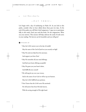#### *4 Lord, I Want to Know You*

*—DAY THREE—*

Let's begin with a day of meditating on Psalm 20. As you look at this psalm, consider what we have talked about these past two days. At the end of the psalm you will find a brief assignment. I urge you to participate fully in this study. Don't just read this book. Do the assignments. Write out your answers. This exercise will help cultivate the seeds of truth sown in your reading. The harvest can be bountiful, and you will grow!

### PSALM 20

1 May the LORD answer you in the day of trouble!

May the name of the God of Jacob set you securely on high!

2 May He send you help from the sanctuary,

And support you from Zion!

3 May He remember all your meal offerings,

And find your burnt offering acceptable!

4 May He grant you your heart's desire,

And fulfill all your counsel!

5 We will sing for joy over your victory,

And in the name of our God we will set up our banners.

May the LORD fulfill all your petitions.

6 Now I know that the LORD saves His anointed;

He will answer him from His holy heaven,

With the saving strength of His right hand.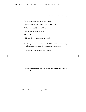<sup>7</sup> Some boast in chariots, and some in horses;

But we will boast in the name of the LORD, our God.

8They have bowed down and fallen;

But we have risen and stood upright.

<sup>9</sup> Save, O LORD;

May the King answer us in the day we call.

- 1. Go through this psalm and put a  $\sim$   $\sim$   $\sim$   $\sim$  around every word that has something to do with trouble, need, or help.\*
- 2. What are the Lord's promises in this psalm?

3. Are there any conditions that need to be met in order for the promises to be fulfilled?

\* See page 199 for section on marking your Bible.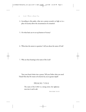- *6 Lord, I Want to Know You*
- 4. According to this psalm, what sets a person securely on high or in a place of security above the circumstances of a situation?
- 5. On what basis can we set up banners of victory?

6. What does the answer to question 5 tell you about the name of God?

7. Why are they boasting in the name of the Lord?

Turn your heart's desire into a prayer. Tell your Father what you need. Thank Him that He wants to be known by you in greater depth!

### MEMORY VERSE

The name of the LORD is a strong tower; the righteous runs into it and is safe.

P ROVERBS 18:10